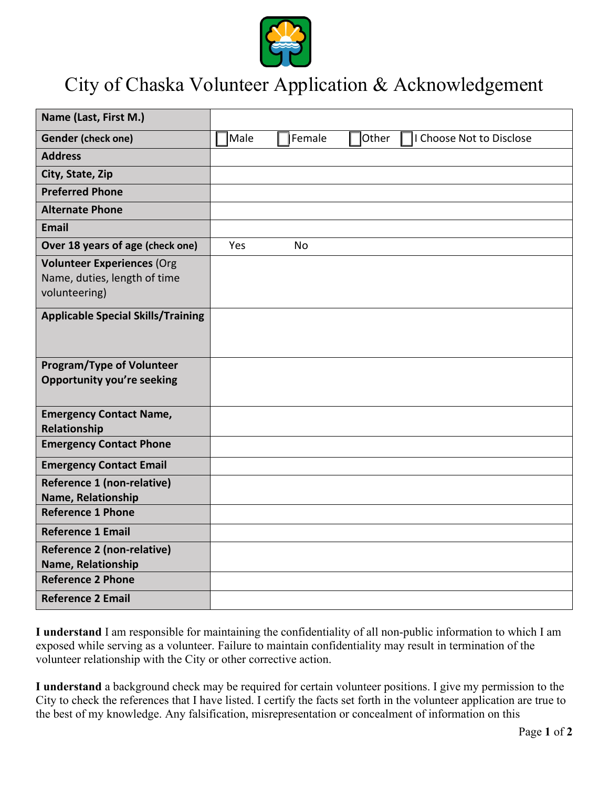

## City of Chaska Volunteer Application & Acknowledgement

| Name (Last, First M.)                                                              |      |           |       |                          |
|------------------------------------------------------------------------------------|------|-----------|-------|--------------------------|
| <b>Gender (check one)</b>                                                          | Male | Female    | Other | I Choose Not to Disclose |
| <b>Address</b>                                                                     |      |           |       |                          |
| City, State, Zip                                                                   |      |           |       |                          |
| <b>Preferred Phone</b>                                                             |      |           |       |                          |
| <b>Alternate Phone</b>                                                             |      |           |       |                          |
| <b>Email</b>                                                                       |      |           |       |                          |
| Over 18 years of age (check one)                                                   | Yes  | <b>No</b> |       |                          |
| <b>Volunteer Experiences (Org</b><br>Name, duties, length of time<br>volunteering) |      |           |       |                          |
| <b>Applicable Special Skills/Training</b>                                          |      |           |       |                          |
| <b>Program/Type of Volunteer</b><br><b>Opportunity you're seeking</b>              |      |           |       |                          |
| <b>Emergency Contact Name,</b><br>Relationship                                     |      |           |       |                          |
| <b>Emergency Contact Phone</b>                                                     |      |           |       |                          |
| <b>Emergency Contact Email</b>                                                     |      |           |       |                          |
| Reference 1 (non-relative)<br>Name, Relationship                                   |      |           |       |                          |
| <b>Reference 1 Phone</b>                                                           |      |           |       |                          |
| <b>Reference 1 Email</b>                                                           |      |           |       |                          |
| Reference 2 (non-relative)<br>Name, Relationship                                   |      |           |       |                          |
| <b>Reference 2 Phone</b>                                                           |      |           |       |                          |
| <b>Reference 2 Email</b>                                                           |      |           |       |                          |

**I understand** I am responsible for maintaining the confidentiality of all non-public information to which I am exposed while serving as a volunteer. Failure to maintain confidentiality may result in termination of the volunteer relationship with the City or other corrective action.

**I understand** a background check may be required for certain volunteer positions. I give my permission to the City to check the references that I have listed. I certify the facts set forth in the volunteer application are true to the best of my knowledge. Any falsification, misrepresentation or concealment of information on this